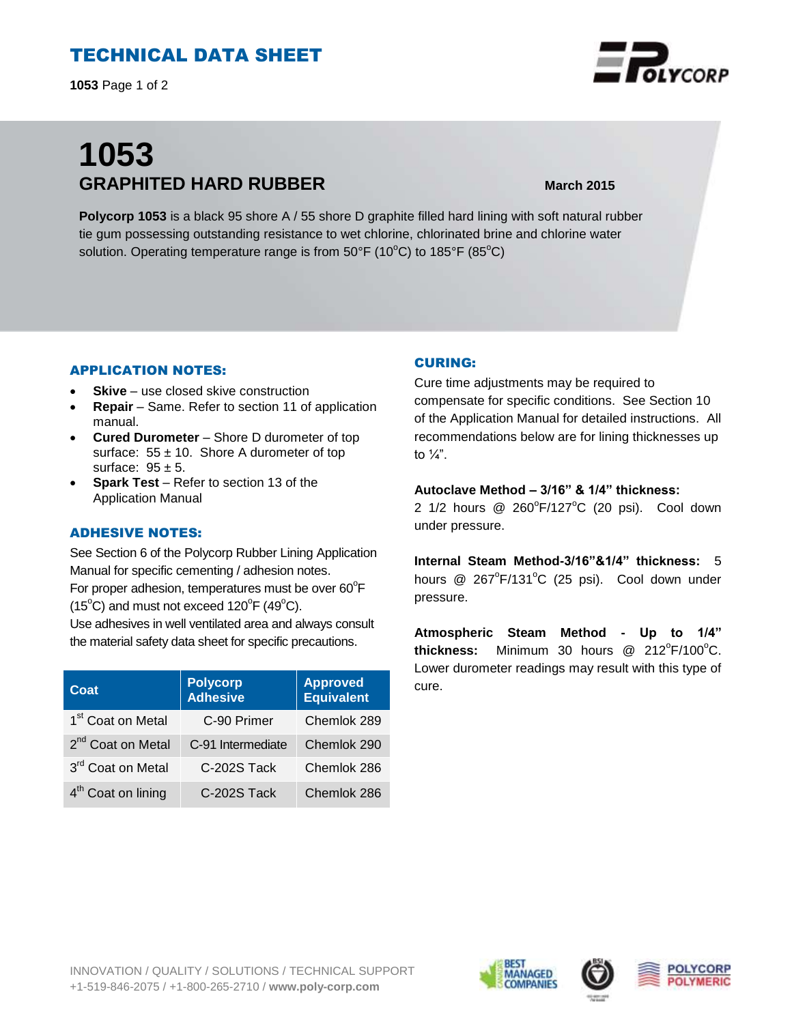# TECHNICAL DATA SHEET

**1053** Page 1 of 2

# **1053 GRAPHITED HARD RUBBER March 2015**

**Polycorp 1053** is a black 95 shore A / 55 shore D graphite filled hard lining with soft natural rubber tie gum possessing outstanding resistance to wet chlorine, chlorinated brine and chlorine water solution. Operating temperature range is from  $50^{\circ}F$  (10 $^{\circ}C$ ) to 185 $^{\circ}F$  (85 $^{\circ}C$ )

### APPLICATION NOTES:

- **Skive** use closed skive construction
- **Repair**  Same. Refer to section 11 of application manual.
- **Cured Durometer**  Shore D durometer of top surface:  $55 \pm 10$ . Shore A durometer of top surface:  $95 \pm 5$ .
- **Spark Test**  Refer to section 13 of the Application Manual

#### ADHESIVE NOTES:

See Section 6 of the Polycorp Rubber Lining Application Manual for specific cementing / adhesion notes. For proper adhesion, temperatures must be over  $60^{\circ}$ F  $(15^{\circ}C)$  and must not exceed  $120^{\circ}F(49^{\circ}C)$ .

Use adhesives in well ventilated area and always consult the material safety data sheet for specific precautions.

| Coat                           | <b>Polycorp</b><br><b>Adhesive</b> | <b>Approved</b><br><b>Equivalent</b> |
|--------------------------------|------------------------------------|--------------------------------------|
| 1 <sup>st</sup> Coat on Metal  | C-90 Primer                        | Chemlok 289                          |
| 2 <sup>nd</sup> Coat on Metal  | C-91 Intermediate                  | Chemlok 290                          |
| 3rd Coat on Metal              | C-202S Tack                        | Chemlok 286                          |
| 4 <sup>th</sup> Coat on lining | C-202S Tack                        | Chemlok 286                          |

### CURING:

Cure time adjustments may be required to compensate for specific conditions. See Section 10 of the Application Manual for detailed instructions. All recommendations below are for lining thicknesses up to  $\frac{1}{4}$ ".

#### **Autoclave Method – 3/16" & 1/4" thickness:**

2 1/2 hours  $@$  260 $^{\circ}$ F/127 $^{\circ}$ C (20 psi). Cool down under pressure.

**Internal Steam Method-3/16"&1/4" thickness:** 5 hours @ 267°F/131°C (25 psi). Cool down under pressure.

**Atmospheric Steam Method - Up to 1/4"**  thickness: Minimum 30 hours @ 212°F/100°C. Lower durometer readings may result with this type of cure.